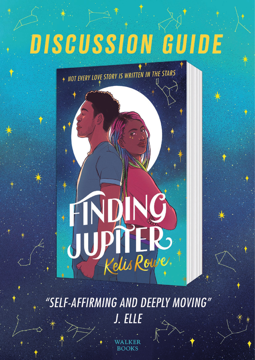# DISCUSSION GUIDE

NOT EVERY LOVE STORY IS WRITTEN IN THE STARS

"SELF-AFFIRMING AND DEEPLY MOVING" J. ELLE

PLIER

JAN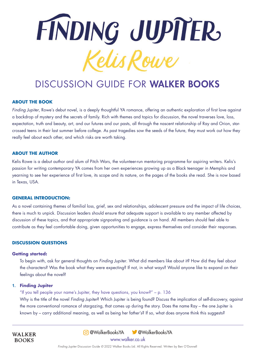

# DISCUSSION GUIDE FOR WALKER BOOKS

#### **ABOUT THE BOOK**

*Finding Jupiter*, Rowe's debut novel, is a deeply thoughtful YA romance, offering an authentic exploration of first love against a backdrop of mystery and the secrets of family. Rich with themes and topics for discussion, the novel traverses love, loss, expectation, truth and beauty, art, and our futures and our pasts, all through the nascent relationship of Ray and Orion, starcrossed teens in their last summer before college. As past tragedies sow the seeds of the future, they must work out how they really feel about each other, and which risks are worth taking.

#### **ABOUT THE AUTHOR**

Kelis Rowe is a debut author and alum of Pitch Wars, the volunteer-run mentoring programme for aspiring writers. Kelis's passion for writing contemporary YA comes from her own experiences growing up as a Black teenager in Memphis and yearning to see her experience of first love, its scope and its nature, on the pages of the books she read. She is now based in Texas, USA.

#### **GENERAL INTRODUCTION:**

As a novel containing themes of familial loss, grief, sex and relationships, adolescent pressure and the impact of life choices, there is much to unpick. Discussion leaders should ensure that adequate support is available to any member affected by discussion of these topics, and that appropriate signposting and guidance is on hand. All members should feel able to contribute as they feel comfortable doing, given opportunities to engage, express themselves and consider their responses.

#### **DISCUSSION QUESTIONS**

#### **Getting started:**

To begin with, ask for general thoughts on *Finding Jupiter*. What did members like about it? How did they feel about the characters? Was the book what they were expecting? If not, in what ways? Would anyone like to expand on their feelings about the novel?

#### **1. Finding Jupiter**

**WALKER BOOKS** 

"If you tell people your name's Jupiter, they have questions, you know?" – p. 136

Why is the title of the novel *Finding Jupiter*? Which Jupiter is being found? Discuss the implication of self-discovery, against the more conventional romance of stargazing, that comes up during the story. Does the name Ray – the one Jupiter is known by – carry additional meaning, as well as being her father's? If so, what does anyone think this suggests?

> www.walker.co.uk @WalkerBooksYA @WalkerBooksYA

*Finding Jupiter* Discussion Guide *©* 2022 Walker Books Ltd. All Rights Reserved. Written by Ben O'Donnell